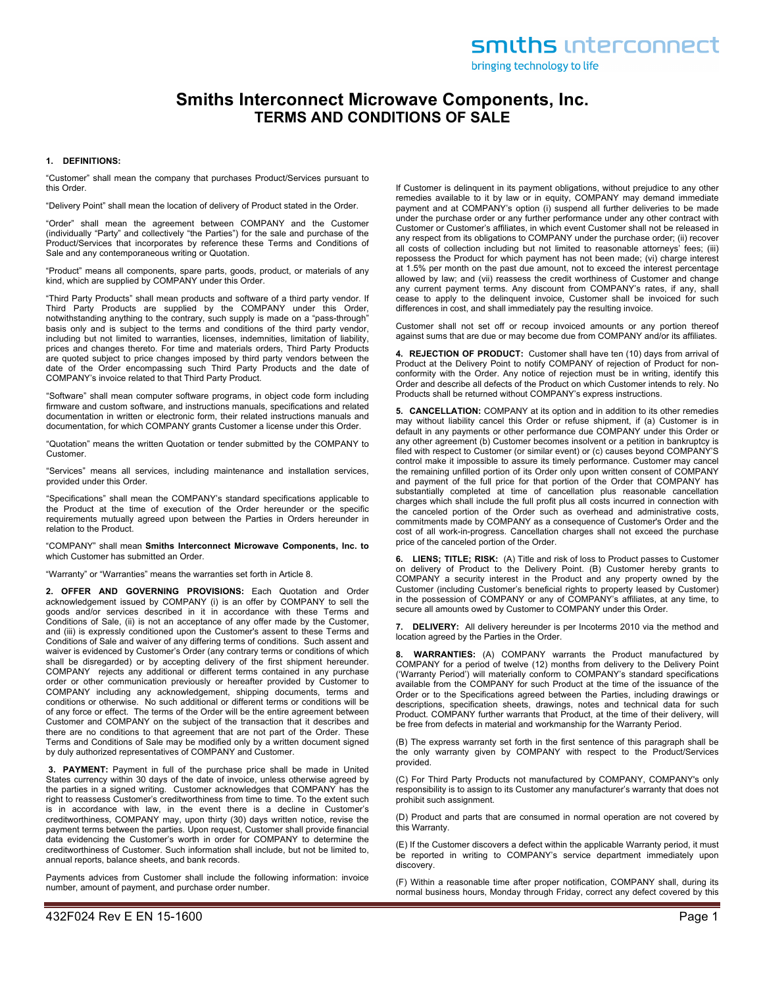bringing technology to life

# **Smiths Interconnect Microwave Components, Inc. TERMS AND CONDITIONS OF SALE**

### **1. DEFINITIONS:**

"Customer" shall mean the company that purchases Product/Services pursuant to this Order.

"Delivery Point" shall mean the location of delivery of Product stated in the Order.

"Order" shall mean the agreement between COMPANY and the Customer (individually "Party" and collectively "the Parties") for the sale and purchase of the Product/Services that incorporates by reference these Terms and Conditions of Sale and any contemporaneous writing or Quotation.

"Product" means all components, spare parts, goods, product, or materials of any kind, which are supplied by COMPANY under this Order.

"Third Party Products" shall mean products and software of a third party vendor. If Third Party Products are supplied by the COMPANY under this Order, notwithstanding anything to the contrary, such supply is made on a "pass-through" basis only and is subject to the terms and conditions of the third party vendor, including but not limited to warranties, licenses, indemnities, limitation of liability, prices and changes thereto. For time and materials orders, Third Party Products are quoted subject to price changes imposed by third party vendors between the date of the Order encompassing such Third Party Products and the date of COMPANY's invoice related to that Third Party Product.

"Software" shall mean computer software programs, in object code form including firmware and custom software, and instructions manuals, specifications and related documentation in written or electronic form, their related instructions manuals and documentation, for which COMPANY grants Customer a license under this Order.

"Quotation" means the written Quotation or tender submitted by the COMPANY to Customer.

"Services" means all services, including maintenance and installation services, provided under this Order.

"Specifications" shall mean the COMPANY's standard specifications applicable to the Product at the time of execution of the Order hereunder or the specific requirements mutually agreed upon between the Parties in Orders hereunder in relation to the Product.

"COMPANY" shall mean **Smiths Interconnect Microwave Components, Inc. to**  which Customer has submitted an Order.

"Warranty" or "Warranties" means the warranties set forth in Article 8.

**2. OFFER AND GOVERNING PROVISIONS:** Each Quotation and Order acknowledgement issued by COMPANY (i) is an offer by COMPANY to sell the goods and/or services described in it in accordance with these Terms and Conditions of Sale, (ii) is not an acceptance of any offer made by the Customer, and (iii) is expressly conditioned upon the Customer's assent to these Terms and Conditions of Sale and waiver of any differing terms of conditions. Such assent and waiver is evidenced by Customer's Order (any contrary terms or conditions of which shall be disregarded) or by accepting delivery of the first shipment hereunder. COMPANY rejects any additional or different terms contained in any purchase order or other communication previously or hereafter provided by Customer to COMPANY including any acknowledgement, shipping documents, terms and conditions or otherwise. No such additional or different terms or conditions will be of any force or effect. The terms of the Order will be the entire agreement between Customer and COMPANY on the subject of the transaction that it describes and there are no conditions to that agreement that are not part of the Order. These Terms and Conditions of Sale may be modified only by a written document signed by duly authorized representatives of COMPANY and Customer.

**3. PAYMENT:** Payment in full of the purchase price shall be made in United States currency within 30 days of the date of invoice, unless otherwise agreed by the parties in a signed writing. Customer acknowledges that COMPANY has the right to reassess Customer's creditworthiness from time to time. To the extent such is in accordance with law, in the event there is a decline in Customer's creditworthiness, COMPANY may, upon thirty (30) days written notice, revise the payment terms between the parties. Upon request, Customer shall provide financial data evidencing the Customer's worth in order for COMPANY to determine the creditworthiness of Customer. Such information shall include, but not be limited to, annual reports, balance sheets, and bank records.

Payments advices from Customer shall include the following information: invoice number, amount of payment, and purchase order number.

If Customer is delinquent in its payment obligations, without prejudice to any other remedies available to it by law or in equity, COMPANY may demand immediate payment and at COMPANY's option (i) suspend all further deliveries to be made under the purchase order or any further performance under any other contract with Customer or Customer's affiliates, in which event Customer shall not be released in any respect from its obligations to COMPANY under the purchase order; (ii) recover all costs of collection including but not limited to reasonable attorneys' fees; (iii) repossess the Product for which payment has not been made; (vi) charge interest at 1.5% per month on the past due amount, not to exceed the interest percentage allowed by law; and (vii) reassess the credit worthiness of Customer and change any current payment terms. Any discount from COMPANY's rates, if any, shall cease to apply to the delinquent invoice, Customer shall be invoiced for such differences in cost, and shall immediately pay the resulting invoice.

Customer shall not set off or recoup invoiced amounts or any portion thereof against sums that are due or may become due from COMPANY and/or its affiliates.

**4. REJECTION OF PRODUCT:** Customer shall have ten (10) days from arrival of Product at the Delivery Point to notify COMPANY of rejection of Product for nonconformity with the Order. Any notice of rejection must be in writing, identify this Order and describe all defects of the Product on which Customer intends to rely. No Products shall be returned without COMPANY's express instructions.

**5. CANCELLATION:** COMPANY at its option and in addition to its other remedies may without liability cancel this Order or refuse shipment, if (a) Customer is in default in any payments or other performance due COMPANY under this Order or any other agreement (b) Customer becomes insolvent or a petition in bankruptcy is filed with respect to Customer (or similar event) or (c) causes beyond COMPANY'S control make it impossible to assure its timely performance. Customer may cancel the remaining unfilled portion of its Order only upon written consent of COMPANY and payment of the full price for that portion of the Order that COMPANY has substantially completed at time of cancellation plus reasonable cancellation charges which shall include the full profit plus all costs incurred in connection with the canceled portion of the Order such as overhead and administrative costs, commitments made by COMPANY as a consequence of Customer's Order and the cost of all work-in-progress. Cancellation charges shall not exceed the purchase price of the canceled portion of the Order.

**6. LIENS; TITLE; RISK:** (A) Title and risk of loss to Product passes to Customer on delivery of Product to the Delivery Point. (B) Customer hereby grants to COMPANY a security interest in the Product and any property owned by the Customer (including Customer's beneficial rights to property leased by Customer) in the possession of COMPANY or any of COMPANY's affiliates, at any time, to secure all amounts owed by Customer to COMPANY under this Order.

**7. DELIVERY:** All delivery hereunder is per Incoterms 2010 via the method and location agreed by the Parties in the Order.

**8. WARRANTIES:** (A) COMPANY warrants the Product manufactured by COMPANY for a period of twelve (12) months from delivery to the Delivery Point ('Warranty Period') will materially conform to COMPANY's standard specifications available from the COMPANY for such Product at the time of the issuance of the Order or to the Specifications agreed between the Parties, including drawings or descriptions, specification sheets, drawings, notes and technical data for such Product. COMPANY further warrants that Product, at the time of their delivery, will be free from defects in material and workmanship for the Warranty Period.

(B) The express warranty set forth in the first sentence of this paragraph shall be the only warranty given by COMPANY with respect to the Product/Services provided.

(C) For Third Party Products not manufactured by COMPANY, COMPANY's only responsibility is to assign to its Customer any manufacturer's warranty that does not prohibit such assignment.

(D) Product and parts that are consumed in normal operation are not covered by this Warranty.

(E) If the Customer discovers a defect within the applicable Warranty period, it must be reported in writing to COMPANY's service department immediately upon discovery.

(F) Within a reasonable time after proper notification, COMPANY shall, during its normal business hours, Monday through Friday, correct any defect covered by this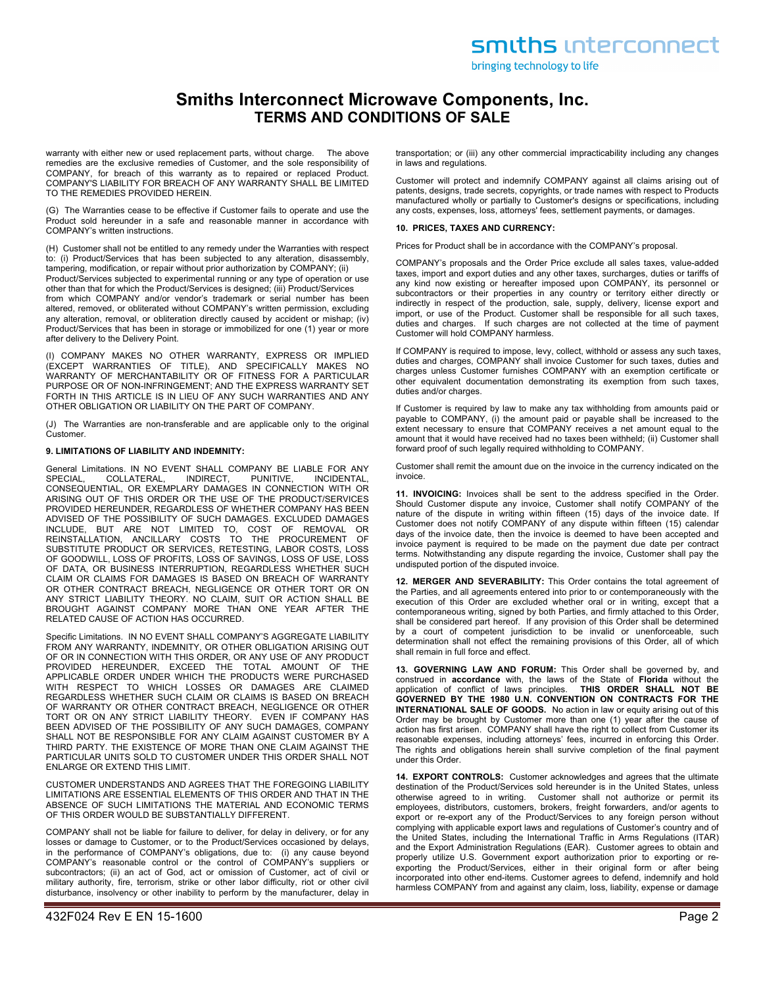bringing technology to life

## **Smiths Interconnect Microwave Components, Inc. TERMS AND CONDITIONS OF SALE**

warranty with either new or used replacement parts, without charge. The above remedies are the exclusive remedies of Customer, and the sole responsibility of COMPANY, for breach of this warranty as to repaired or replaced Product. COMPANY'S LIABILITY FOR BREACH OF ANY WARRANTY SHALL BE LIMITED TO THE REMEDIES PROVIDED HEREIN.

(G) The Warranties cease to be effective if Customer fails to operate and use the Product sold hereunder in a safe and reasonable manner in accordance with COMPANY's written instructions.

(H) Customer shall not be entitled to any remedy under the Warranties with respect to: (i) Product/Services that has been subjected to any alteration, disassembly, tampering, modification, or repair without prior authorization by COMPANY; (ii)

Product/Services subjected to experimental running or any type of operation or use other than that for which the Product/Services is designed; (iii) Product/Services

from which COMPANY and/or vendor's trademark or serial number has been altered, removed, or obliterated without COMPANY's written permission, excluding any alteration, removal, or obliteration directly caused by accident or mishap; (iv) Product/Services that has been in storage or immobilized for one (1) year or more after delivery to the Delivery Point.

(I) COMPANY MAKES NO OTHER WARRANTY, EXPRESS OR IMPLIED (EXCEPT WARRANTIES OF TITLE), AND SPECIFICALLY MAKES NO WARRANTY OF MERCHANTABILITY OR OF FITNESS FOR A PARTICULAR PURPOSE OR OF NON-INFRINGEMENT; AND THE EXPRESS WARRANTY SET FORTH IN THIS ARTICLE IS IN LIEU OF ANY SUCH WARRANTIES AND ANY OTHER OBLIGATION OR LIABILITY ON THE PART OF COMPANY.

(J) The Warranties are non-transferable and are applicable only to the original Customer.

### **9. LIMITATIONS OF LIABILITY AND INDEMNITY:**

General Limitations. IN NO EVENT SHALL COMPANY BE LIABLE FOR ANY<br>SPECIAL COLLATERAL INDIRECT PUNITIVE INCIDENTAL SPECIAL, COLLATERAL, INDIRECT, PUNITIVE, INCIDENTAL, CONSEQUENTIAL, OR EXEMPLARY DAMAGES IN CONNECTION WITH OR ARISING OUT OF THIS ORDER OR THE USE OF THE PRODUCT/SERVICES PROVIDED HEREUNDER, REGARDLESS OF WHETHER COMPANY HAS BEEN ADVISED OF THE POSSIBILITY OF SUCH DAMAGES. EXCLUDED DAMAGES INCLUDE, BUT ARE NOT LIMITED TO, COST OF REMOVAL OR REINSTALLATION, ANCILLARY COSTS TO THE PROCUREMENT OF SUBSTITUTE PRODUCT OR SERVICES, RETESTING, LABOR COSTS, LOSS OF GOODWILL, LOSS OF PROFITS, LOSS OF SAVINGS, LOSS OF USE, LOSS OF DATA, OR BUSINESS INTERRUPTION, REGARDLESS WHETHER SUCH CLAIM OR CLAIMS FOR DAMAGES IS BASED ON BREACH OF WARRANTY OR OTHER CONTRACT BREACH, NEGLIGENCE OR OTHER TORT OR ON ANY STRICT LIABILITY THEORY. NO CLAIM, SUIT OR ACTION SHALL BE BROUGHT AGAINST COMPANY MORE THAN ONE YEAR AFTER THE RELATED CAUSE OF ACTION HAS OCCURRED.

Specific Limitations. IN NO EVENT SHALL COMPANY'S AGGREGATE LIABILITY FROM ANY WARRANTY, INDEMNITY, OR OTHER OBLIGATION ARISING OUT OF OR IN CONNECTION WITH THIS ORDER, OR ANY USE OF ANY PRODUCT PROVIDED HEREUNDER, EXCEED THE TOTAL AMOUNT OF THE APPLICABLE ORDER UNDER WHICH THE PRODUCTS WERE PURCHASED WITH RESPECT TO WHICH LOSSES OR DAMAGES ARE CLAIMED REGARDLESS WHETHER SUCH CLAIM OR CLAIMS IS BASED ON BREACH OF WARRANTY OR OTHER CONTRACT BREACH, NEGLIGENCE OR OTHER TORT OR ON ANY STRICT LIABILITY THEORY. EVEN IF COMPANY HAS BEEN ADVISED OF THE POSSIBILITY OF ANY SUCH DAMAGES, COMPANY SHALL NOT BE RESPONSIBLE FOR ANY CLAIM AGAINST CUSTOMER BY A THIRD PARTY. THE EXISTENCE OF MORE THAN ONE CLAIM AGAINST THE PARTICULAR UNITS SOLD TO CUSTOMER UNDER THIS ORDER SHALL NOT ENLARGE OR EXTEND THIS LIMIT.

CUSTOMER UNDERSTANDS AND AGREES THAT THE FOREGOING LIABILITY LIMITATIONS ARE ESSENTIAL ELEMENTS OF THIS ORDER AND THAT IN THE ABSENCE OF SUCH LIMITATIONS THE MATERIAL AND ECONOMIC TERMS OF THIS ORDER WOULD BE SUBSTANTIALLY DIFFERENT.

COMPANY shall not be liable for failure to deliver, for delay in delivery, or for any losses or damage to Customer, or to the Product/Services occasioned by delays, in the performance of COMPANY's obligations, due to: (i) any cause beyond COMPANY's reasonable control or the control of COMPANY's suppliers or subcontractors; (ii) an act of God, act or omission of Customer, act of civil or military authority, fire, terrorism, strike or other labor difficulty, riot or other civil disturbance, insolvency or other inability to perform by the manufacturer, delay in transportation; or (iii) any other commercial impracticability including any changes in laws and regulations.

Customer will protect and indemnify COMPANY against all claims arising out of patents, designs, trade secrets, copyrights, or trade names with respect to Products manufactured wholly or partially to Customer's designs or specifications, including any costs, expenses, loss, attorneys' fees, settlement payments, or damages.

#### **10. PRICES, TAXES AND CURRENCY:**

Prices for Product shall be in accordance with the COMPANY's proposal.

COMPANY's proposals and the Order Price exclude all sales taxes, value-added taxes, import and export duties and any other taxes, surcharges, duties or tariffs of any kind now existing or hereafter imposed upon COMPANY, its personnel or subcontractors or their properties in any country or territory either directly or indirectly in respect of the production, sale, supply, delivery, license export and import, or use of the Product. Customer shall be responsible for all such taxes, duties and charges. If such charges are not collected at the time of payment Customer will hold COMPANY harmless.

If COMPANY is required to impose, levy, collect, withhold or assess any such taxes, duties and charges, COMPANY shall invoice Customer for such taxes, duties and charges unless Customer furnishes COMPANY with an exemption certificate or other equivalent documentation demonstrating its exemption from such taxes, duties and/or charges.

If Customer is required by law to make any tax withholding from amounts paid or payable to COMPANY, (i) the amount paid or payable shall be increased to the extent necessary to ensure that COMPANY receives a net amount equal to the amount that it would have received had no taxes been withheld; (ii) Customer shall forward proof of such legally required withholding to COMPANY.

Customer shall remit the amount due on the invoice in the currency indicated on the invoice.

**11. INVOICING:** Invoices shall be sent to the address specified in the Order. Should Customer dispute any invoice, Customer shall notify COMPANY of the nature of the dispute in writing within fifteen (15) days of the invoice date. If Customer does not notify COMPANY of any dispute within fifteen (15) calendar days of the invoice date, then the invoice is deemed to have been accepted and invoice payment is required to be made on the payment due date per contract terms. Notwithstanding any dispute regarding the invoice, Customer shall pay the undisputed portion of the disputed invoice.

**12. MERGER AND SEVERABILITY:** This Order contains the total agreement of the Parties, and all agreements entered into prior to or contemporaneously with the execution of this Order are excluded whether oral or in writing, except that a contemporaneous writing, signed by both Parties, and firmly attached to this Order, shall be considered part hereof. If any provision of this Order shall be determined by a court of competent jurisdiction to be invalid or unenforceable, such determination shall not effect the remaining provisions of this Order, all of which shall remain in full force and effect.

**13. GOVERNING LAW AND FORUM:** This Order shall be governed by, and construed in **accordance** with, the laws of the State of **Florida** without the application of conflict of laws principles. **GOVERNED BY THE 1980 U.N. CONVENTION ON CONTRACTS FOR THE INTERNATIONAL SALE OF GOODS.** No action in law or equity arising out of this Order may be brought by Customer more than one (1) year after the cause of action has first arisen. COMPANY shall have the right to collect from Customer its reasonable expenses, including attorneys' fees, incurred in enforcing this Order. The rights and obligations herein shall survive completion of the final payment under this Order.

**14. EXPORT CONTROLS:** Customer acknowledges and agrees that the ultimate destination of the Product/Services sold hereunder is in the United States, unless otherwise agreed to in writing. Customer shall not authorize or permit its employees, distributors, customers, brokers, freight forwarders, and/or agents to export or re-export any of the Product/Services to any foreign person without complying with applicable export laws and regulations of Customer's country and of the United States, including the International Traffic in Arms Regulations (ITAR) and the Export Administration Regulations (EAR). Customer agrees to obtain and properly utilize U.S. Government export authorization prior to exporting or reexporting the Product/Services, either in their original form or after being incorporated into other end-items. Customer agrees to defend, indemnify and hold harmless COMPANY from and against any claim, loss, liability, expense or damage